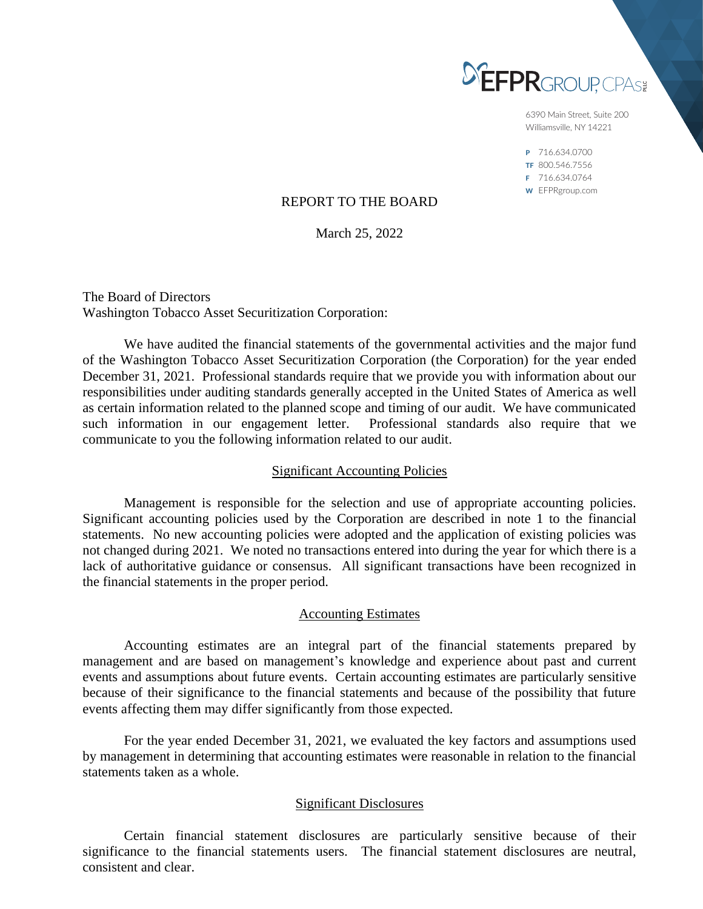

6390 Main Street, Suite 200 Williamsville, NY 14221

P 716.634.0700 TF 800.546.7556 F 716.634.0764 W EFPRgroup.com

### REPORT TO THE BOARD

March 25, 2022

The Board of Directors Washington Tobacco Asset Securitization Corporation:

We have audited the financial statements of the governmental activities and the major fund of the Washington Tobacco Asset Securitization Corporation (the Corporation) for the year ended December 31, 2021. Professional standards require that we provide you with information about our responsibilities under auditing standards generally accepted in the United States of America as well as certain information related to the planned scope and timing of our audit. We have communicated such information in our engagement letter. Professional standards also require that we communicate to you the following information related to our audit.

# Significant Accounting Policies

Management is responsible for the selection and use of appropriate accounting policies. Significant accounting policies used by the Corporation are described in note 1 to the financial statements. No new accounting policies were adopted and the application of existing policies was not changed during 2021. We noted no transactions entered into during the year for which there is a lack of authoritative guidance or consensus. All significant transactions have been recognized in the financial statements in the proper period.

### Accounting Estimates

Accounting estimates are an integral part of the financial statements prepared by management and are based on management's knowledge and experience about past and current events and assumptions about future events. Certain accounting estimates are particularly sensitive because of their significance to the financial statements and because of the possibility that future events affecting them may differ significantly from those expected.

For the year ended December 31, 2021, we evaluated the key factors and assumptions used by management in determining that accounting estimates were reasonable in relation to the financial statements taken as a whole.

### Significant Disclosures

Certain financial statement disclosures are particularly sensitive because of their significance to the financial statements users. The financial statement disclosures are neutral, consistent and clear.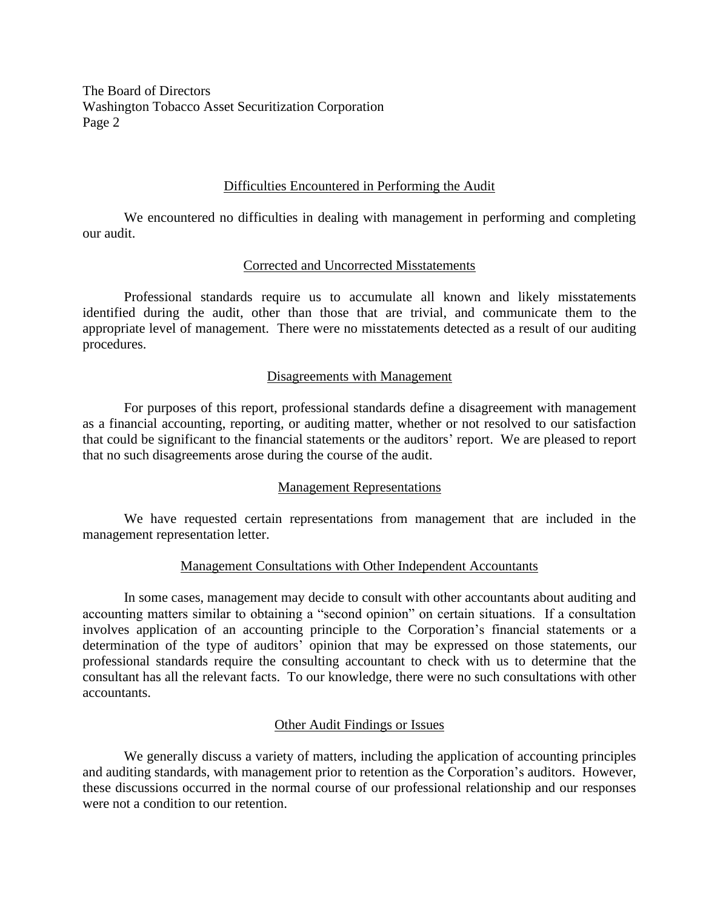The Board of Directors Washington Tobacco Asset Securitization Corporation Page 2

### Difficulties Encountered in Performing the Audit

We encountered no difficulties in dealing with management in performing and completing our audit.

### Corrected and Uncorrected Misstatements

Professional standards require us to accumulate all known and likely misstatements identified during the audit, other than those that are trivial, and communicate them to the appropriate level of management. There were no misstatements detected as a result of our auditing procedures.

### Disagreements with Management

For purposes of this report, professional standards define a disagreement with management as a financial accounting, reporting, or auditing matter, whether or not resolved to our satisfaction that could be significant to the financial statements or the auditors' report. We are pleased to report that no such disagreements arose during the course of the audit.

### Management Representations

We have requested certain representations from management that are included in the management representation letter.

### Management Consultations with Other Independent Accountants

In some cases, management may decide to consult with other accountants about auditing and accounting matters similar to obtaining a "second opinion" on certain situations. If a consultation involves application of an accounting principle to the Corporation's financial statements or a determination of the type of auditors' opinion that may be expressed on those statements, our professional standards require the consulting accountant to check with us to determine that the consultant has all the relevant facts. To our knowledge, there were no such consultations with other accountants.

### Other Audit Findings or Issues

We generally discuss a variety of matters, including the application of accounting principles and auditing standards, with management prior to retention as the Corporation's auditors. However, these discussions occurred in the normal course of our professional relationship and our responses were not a condition to our retention.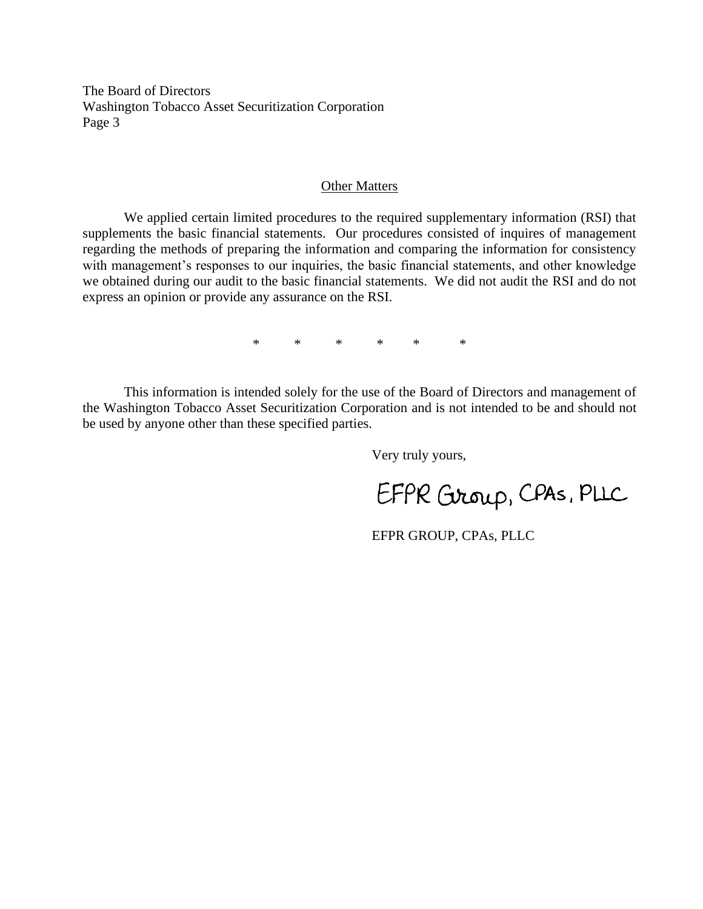The Board of Directors Washington Tobacco Asset Securitization Corporation Page 3

### Other Matters

We applied certain limited procedures to the required supplementary information (RSI) that supplements the basic financial statements. Our procedures consisted of inquires of management regarding the methods of preparing the information and comparing the information for consistency with management's responses to our inquiries, the basic financial statements, and other knowledge we obtained during our audit to the basic financial statements. We did not audit the RSI and do not express an opinion or provide any assurance on the RSI.

\* \* \* \* \* \*

This information is intended solely for the use of the Board of Directors and management of the Washington Tobacco Asset Securitization Corporation and is not intended to be and should not be used by anyone other than these specified parties.

Very truly yours,

EFPR Group, CPAS, PLLC

EFPR GROUP, CPAs, PLLC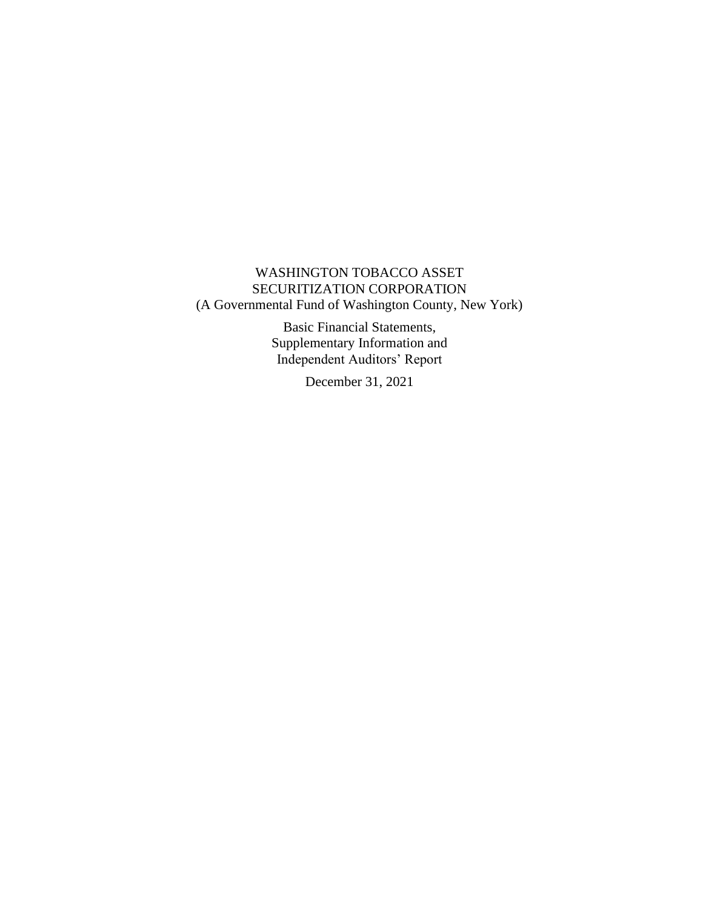Basic Financial Statements, Supplementary Information and Independent Auditors' Report

December 31, 2021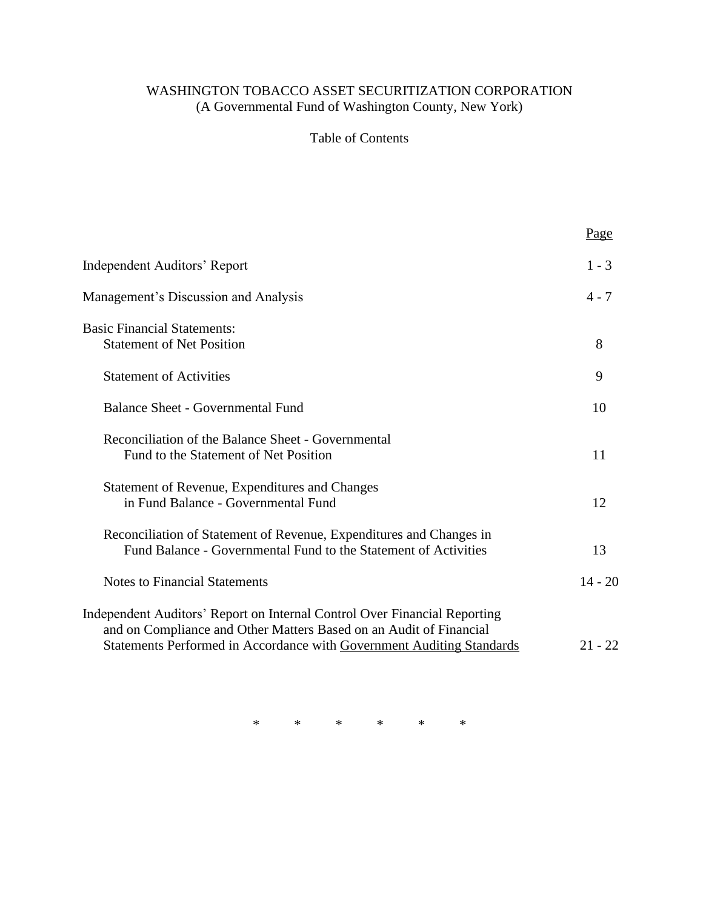# Table of Contents

|                                                                                                                                                                                                                          | Page      |
|--------------------------------------------------------------------------------------------------------------------------------------------------------------------------------------------------------------------------|-----------|
| <b>Independent Auditors' Report</b>                                                                                                                                                                                      | $1 - 3$   |
| Management's Discussion and Analysis                                                                                                                                                                                     | $4 - 7$   |
| <b>Basic Financial Statements:</b><br><b>Statement of Net Position</b>                                                                                                                                                   | 8         |
| <b>Statement of Activities</b>                                                                                                                                                                                           | 9         |
| <b>Balance Sheet - Governmental Fund</b>                                                                                                                                                                                 | 10        |
| Reconciliation of the Balance Sheet - Governmental<br>Fund to the Statement of Net Position                                                                                                                              | 11        |
| Statement of Revenue, Expenditures and Changes<br>in Fund Balance - Governmental Fund                                                                                                                                    | 12        |
| Reconciliation of Statement of Revenue, Expenditures and Changes in<br>Fund Balance - Governmental Fund to the Statement of Activities                                                                                   | 13        |
| <b>Notes to Financial Statements</b>                                                                                                                                                                                     | $14 - 20$ |
| Independent Auditors' Report on Internal Control Over Financial Reporting<br>and on Compliance and Other Matters Based on an Audit of Financial<br>Statements Performed in Accordance with Government Auditing Standards | $21 - 22$ |

\* \* \* \* \* \*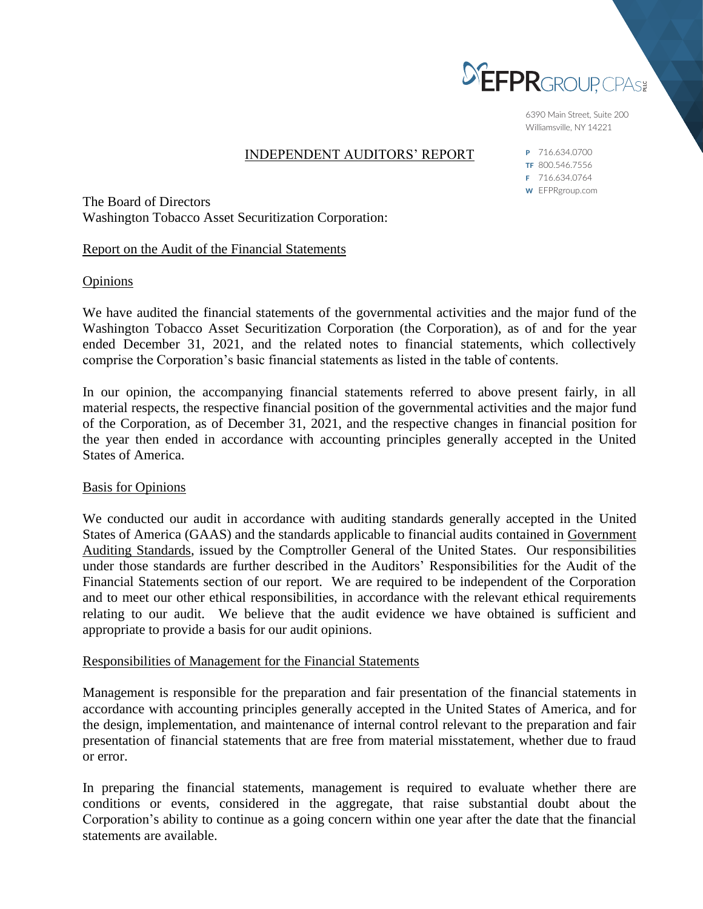

6390 Main Street, Suite 200 Williamsville, NY 14221

#### INDEPENDENT AUDITORS' REPORT

P 716.634.0700 TF 800.546.7556 F 716.634.0764 W EFPRgroup.com

The Board of Directors Washington Tobacco Asset Securitization Corporation:

#### Report on the Audit of the Financial Statements

### **Opinions**

We have audited the financial statements of the governmental activities and the major fund of the Washington Tobacco Asset Securitization Corporation (the Corporation), as of and for the year ended December 31, 2021, and the related notes to financial statements, which collectively comprise the Corporation's basic financial statements as listed in the table of contents.

In our opinion, the accompanying financial statements referred to above present fairly, in all material respects, the respective financial position of the governmental activities and the major fund of the Corporation, as of December 31, 2021, and the respective changes in financial position for the year then ended in accordance with accounting principles generally accepted in the United States of America.

### Basis for Opinions

We conducted our audit in accordance with auditing standards generally accepted in the United States of America (GAAS) and the standards applicable to financial audits contained in Government Auditing Standards, issued by the Comptroller General of the United States. Our responsibilities under those standards are further described in the Auditors' Responsibilities for the Audit of the Financial Statements section of our report. We are required to be independent of the Corporation and to meet our other ethical responsibilities, in accordance with the relevant ethical requirements relating to our audit. We believe that the audit evidence we have obtained is sufficient and appropriate to provide a basis for our audit opinions.

### Responsibilities of Management for the Financial Statements

Management is responsible for the preparation and fair presentation of the financial statements in accordance with accounting principles generally accepted in the United States of America, and for the design, implementation, and maintenance of internal control relevant to the preparation and fair presentation of financial statements that are free from material misstatement, whether due to fraud or error.

In preparing the financial statements, management is required to evaluate whether there are conditions or events, considered in the aggregate, that raise substantial doubt about the Corporation's ability to continue as a going concern within one year after the date that the financial statements are available.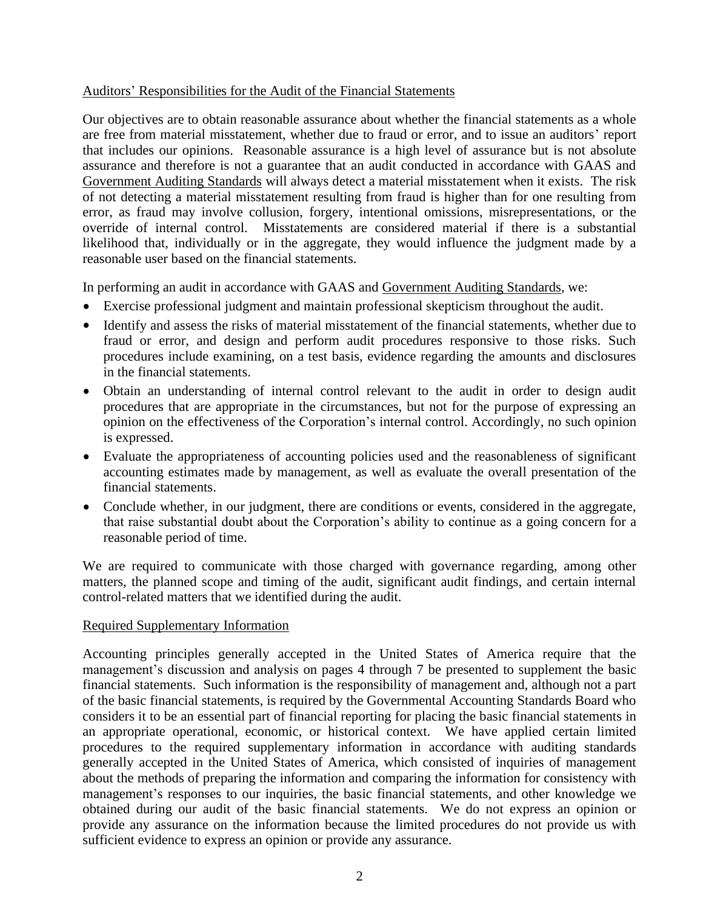# Auditors' Responsibilities for the Audit of the Financial Statements

Our objectives are to obtain reasonable assurance about whether the financial statements as a whole are free from material misstatement, whether due to fraud or error, and to issue an auditors' report that includes our opinions. Reasonable assurance is a high level of assurance but is not absolute assurance and therefore is not a guarantee that an audit conducted in accordance with GAAS and Government Auditing Standards will always detect a material misstatement when it exists. The risk of not detecting a material misstatement resulting from fraud is higher than for one resulting from error, as fraud may involve collusion, forgery, intentional omissions, misrepresentations, or the override of internal control. Misstatements are considered material if there is a substantial likelihood that, individually or in the aggregate, they would influence the judgment made by a reasonable user based on the financial statements.

In performing an audit in accordance with GAAS and Government Auditing Standards, we:

- Exercise professional judgment and maintain professional skepticism throughout the audit.
- Identify and assess the risks of material misstatement of the financial statements, whether due to fraud or error, and design and perform audit procedures responsive to those risks. Such procedures include examining, on a test basis, evidence regarding the amounts and disclosures in the financial statements.
- Obtain an understanding of internal control relevant to the audit in order to design audit procedures that are appropriate in the circumstances, but not for the purpose of expressing an opinion on the effectiveness of the Corporation's internal control. Accordingly, no such opinion is expressed.
- Evaluate the appropriateness of accounting policies used and the reasonableness of significant accounting estimates made by management, as well as evaluate the overall presentation of the financial statements.
- Conclude whether, in our judgment, there are conditions or events, considered in the aggregate, that raise substantial doubt about the Corporation's ability to continue as a going concern for a reasonable period of time.

We are required to communicate with those charged with governance regarding, among other matters, the planned scope and timing of the audit, significant audit findings, and certain internal control-related matters that we identified during the audit.

# Required Supplementary Information

Accounting principles generally accepted in the United States of America require that the management's discussion and analysis on pages 4 through 7 be presented to supplement the basic financial statements. Such information is the responsibility of management and, although not a part of the basic financial statements, is required by the Governmental Accounting Standards Board who considers it to be an essential part of financial reporting for placing the basic financial statements in an appropriate operational, economic, or historical context. We have applied certain limited procedures to the required supplementary information in accordance with auditing standards generally accepted in the United States of America, which consisted of inquiries of management about the methods of preparing the information and comparing the information for consistency with management's responses to our inquiries, the basic financial statements, and other knowledge we obtained during our audit of the basic financial statements. We do not express an opinion or provide any assurance on the information because the limited procedures do not provide us with sufficient evidence to express an opinion or provide any assurance.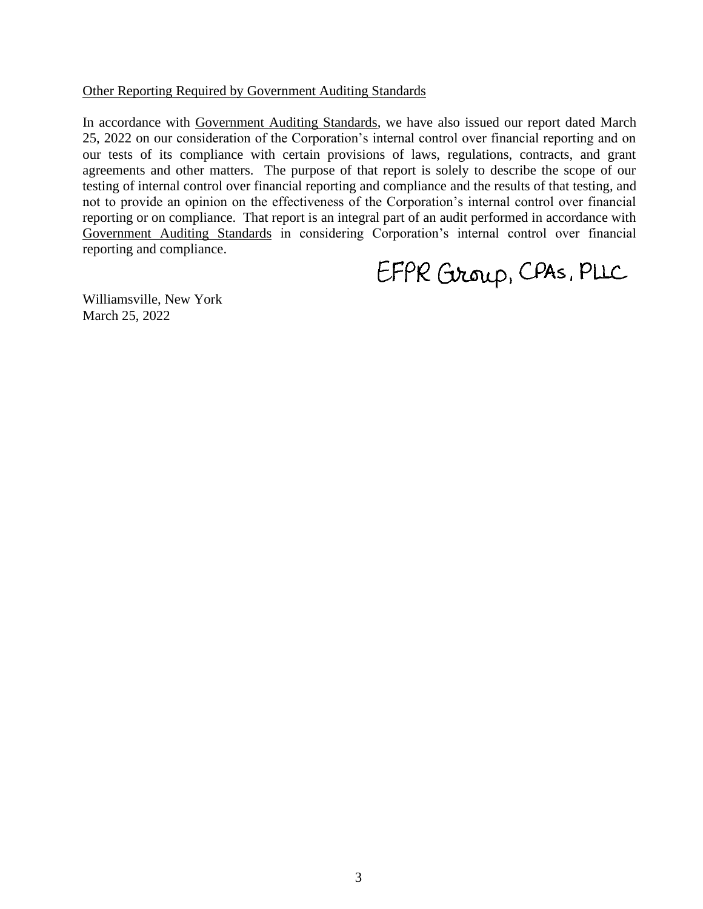# Other Reporting Required by Government Auditing Standards

In accordance with Government Auditing Standards, we have also issued our report dated March 25, 2022 on our consideration of the Corporation's internal control over financial reporting and on our tests of its compliance with certain provisions of laws, regulations, contracts, and grant agreements and other matters. The purpose of that report is solely to describe the scope of our testing of internal control over financial reporting and compliance and the results of that testing, and not to provide an opinion on the effectiveness of the Corporation's internal control over financial reporting or on compliance. That report is an integral part of an audit performed in accordance with Government Auditing Standards in considering Corporation's internal control over financial reporting and compliance.

EFPR Group, CPAS, PLLC

Williamsville, New York March 25, 2022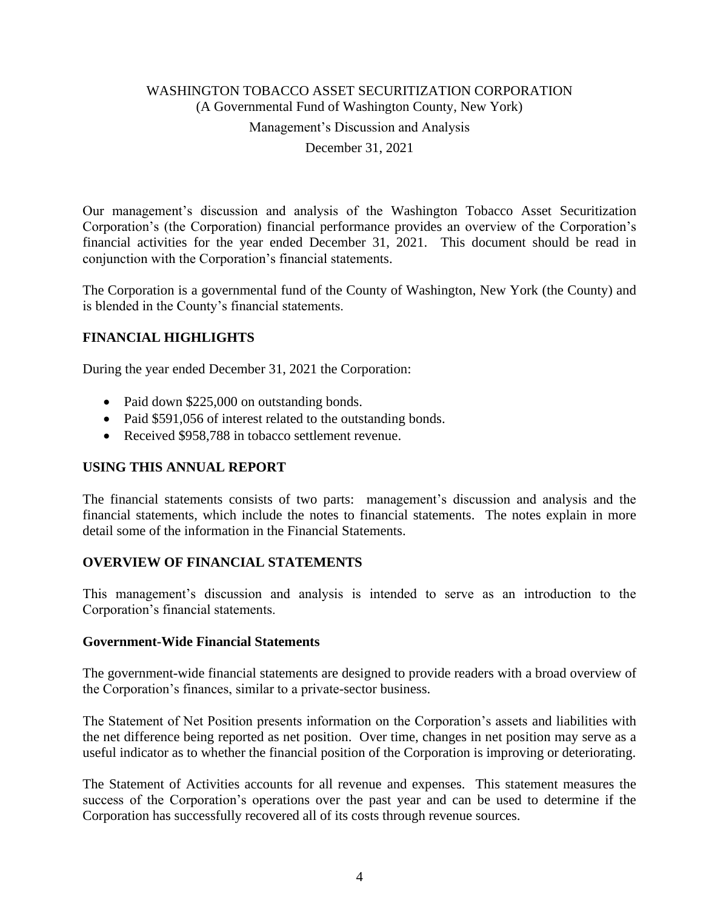# WASHINGTON TOBACCO ASSET SECURITIZATION CORPORATION (A Governmental Fund of Washington County, New York) Management's Discussion and Analysis December 31, 2021

Our management's discussion and analysis of the Washington Tobacco Asset Securitization Corporation's (the Corporation) financial performance provides an overview of the Corporation's financial activities for the year ended December 31, 2021. This document should be read in conjunction with the Corporation's financial statements.

The Corporation is a governmental fund of the County of Washington, New York (the County) and is blended in the County's financial statements.

# **FINANCIAL HIGHLIGHTS**

During the year ended December 31, 2021 the Corporation:

- Paid down \$225,000 on outstanding bonds.
- Paid \$591,056 of interest related to the outstanding bonds.
- Received \$958,788 in tobacco settlement revenue.

# **USING THIS ANNUAL REPORT**

The financial statements consists of two parts: management's discussion and analysis and the financial statements, which include the notes to financial statements. The notes explain in more detail some of the information in the Financial Statements.

# **OVERVIEW OF FINANCIAL STATEMENTS**

This management's discussion and analysis is intended to serve as an introduction to the Corporation's financial statements.

# **Government-Wide Financial Statements**

The government-wide financial statements are designed to provide readers with a broad overview of the Corporation's finances, similar to a private-sector business.

The Statement of Net Position presents information on the Corporation's assets and liabilities with the net difference being reported as net position. Over time, changes in net position may serve as a useful indicator as to whether the financial position of the Corporation is improving or deteriorating.

The Statement of Activities accounts for all revenue and expenses. This statement measures the success of the Corporation's operations over the past year and can be used to determine if the Corporation has successfully recovered all of its costs through revenue sources.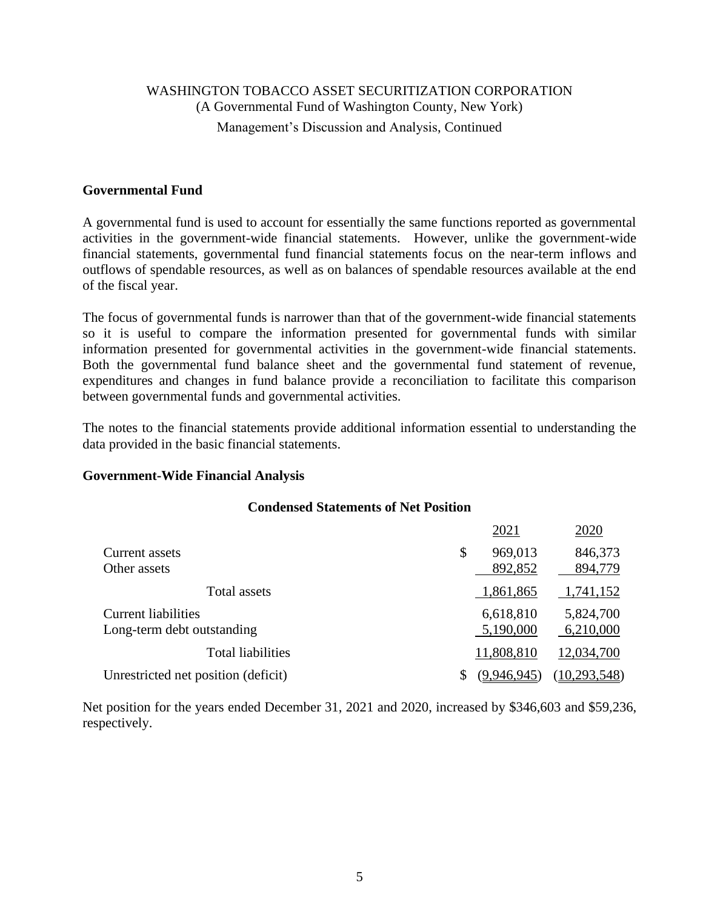# WASHINGTON TOBACCO ASSET SECURITIZATION CORPORATION (A Governmental Fund of Washington County, New York) Management's Discussion and Analysis, Continued

# **Governmental Fund**

A governmental fund is used to account for essentially the same functions reported as governmental activities in the government-wide financial statements. However, unlike the government-wide financial statements, governmental fund financial statements focus on the near-term inflows and outflows of spendable resources, as well as on balances of spendable resources available at the end of the fiscal year.

The focus of governmental funds is narrower than that of the government-wide financial statements so it is useful to compare the information presented for governmental funds with similar information presented for governmental activities in the government-wide financial statements. Both the governmental fund balance sheet and the governmental fund statement of revenue, expenditures and changes in fund balance provide a reconciliation to facilitate this comparison between governmental funds and governmental activities.

The notes to the financial statements provide additional information essential to understanding the data provided in the basic financial statements.

# **Government-Wide Financial Analysis**

# **Condensed Statements of Net Position**

|                                     | 2021              | 2020           |
|-------------------------------------|-------------------|----------------|
| Current assets                      | \$<br>969,013     | 846,373        |
| Other assets                        | 892,852           | 894,779        |
| Total assets                        | 1,861,865         | 1,741,152      |
| <b>Current liabilities</b>          | 6,618,810         | 5,824,700      |
| Long-term debt outstanding          | 5,190,000         | 6,210,000      |
| <b>Total liabilities</b>            | 11,808,810        | 12,034,700     |
| Unrestricted net position (deficit) | \$<br>(9,946,945) | (10, 293, 548) |

Net position for the years ended December 31, 2021 and 2020, increased by \$346,603 and \$59,236, respectively.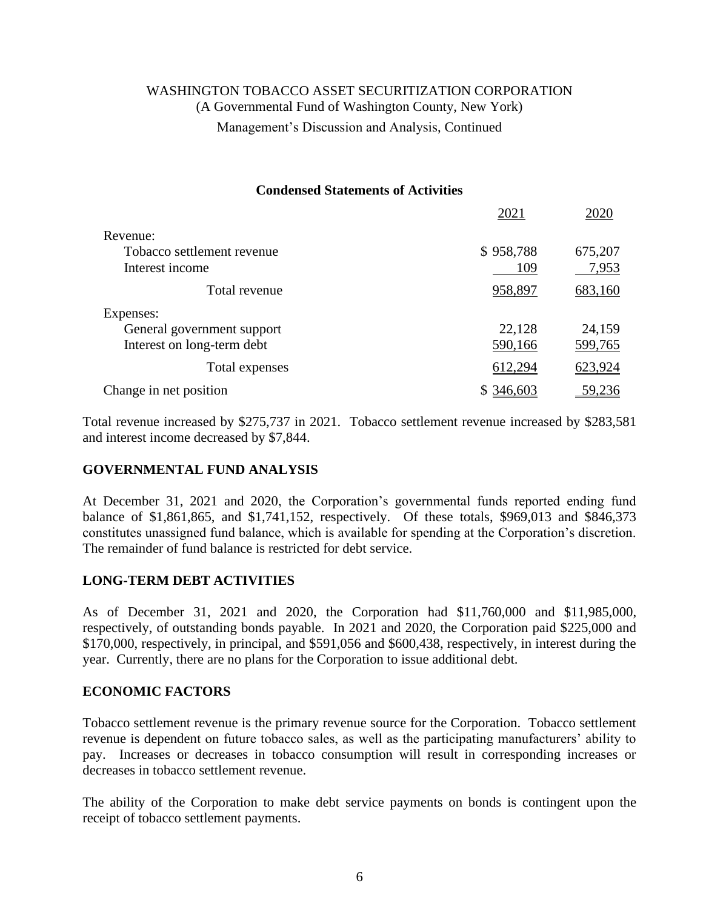Management's Discussion and Analysis, Continued

# **Condensed Statements of Activities**

|                            | 2021      | 2020    |
|----------------------------|-----------|---------|
| Revenue:                   |           |         |
| Tobacco settlement revenue | \$958,788 | 675,207 |
| Interest income            | 109       | 7,953   |
| Total revenue              | 958,897   | 683,160 |
| Expenses:                  |           |         |
| General government support | 22,128    | 24,159  |
| Interest on long-term debt | 590,166   | 599,765 |
| Total expenses             | 612,294   | 623,924 |
| Change in net position     | 346,603   | 59,236  |

Total revenue increased by \$275,737 in 2021. Tobacco settlement revenue increased by \$283,581 and interest income decreased by \$7,844.

# **GOVERNMENTAL FUND ANALYSIS**

At December 31, 2021 and 2020, the Corporation's governmental funds reported ending fund balance of \$1,861,865, and \$1,741,152, respectively. Of these totals, \$969,013 and \$846,373 constitutes unassigned fund balance, which is available for spending at the Corporation's discretion. The remainder of fund balance is restricted for debt service.

# **LONG-TERM DEBT ACTIVITIES**

As of December 31, 2021 and 2020, the Corporation had \$11,760,000 and \$11,985,000, respectively, of outstanding bonds payable. In 2021 and 2020, the Corporation paid \$225,000 and \$170,000, respectively, in principal, and \$591,056 and \$600,438, respectively, in interest during the year. Currently, there are no plans for the Corporation to issue additional debt.

# **ECONOMIC FACTORS**

Tobacco settlement revenue is the primary revenue source for the Corporation. Tobacco settlement revenue is dependent on future tobacco sales, as well as the participating manufacturers' ability to pay. Increases or decreases in tobacco consumption will result in corresponding increases or decreases in tobacco settlement revenue.

The ability of the Corporation to make debt service payments on bonds is contingent upon the receipt of tobacco settlement payments.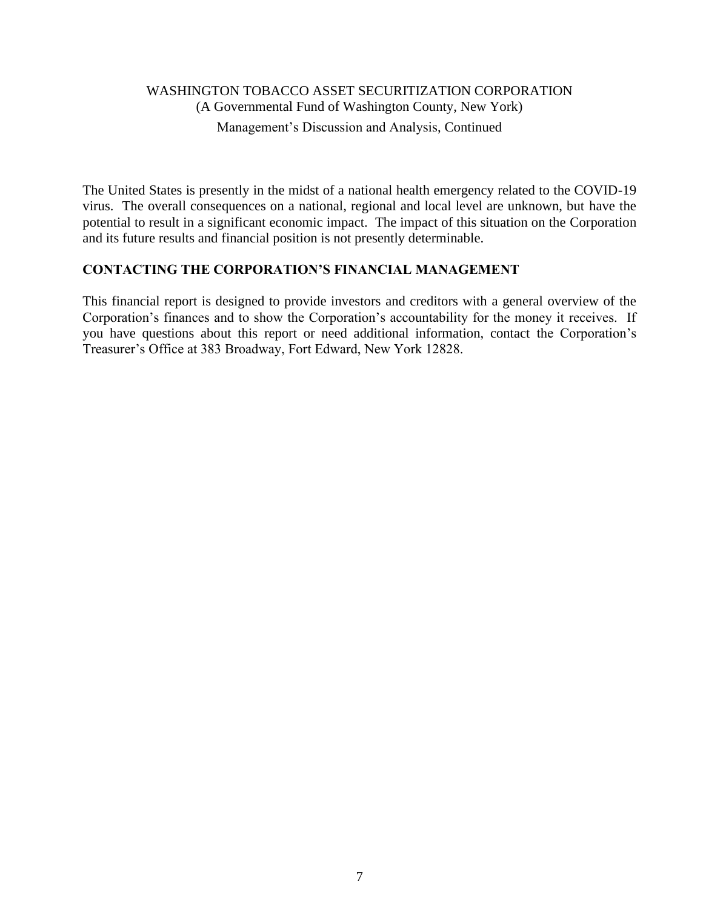# WASHINGTON TOBACCO ASSET SECURITIZATION CORPORATION (A Governmental Fund of Washington County, New York) Management's Discussion and Analysis, Continued

The United States is presently in the midst of a national health emergency related to the COVID-19 virus. The overall consequences on a national, regional and local level are unknown, but have the potential to result in a significant economic impact. The impact of this situation on the Corporation and its future results and financial position is not presently determinable.

# **CONTACTING THE CORPORATION'S FINANCIAL MANAGEMENT**

This financial report is designed to provide investors and creditors with a general overview of the Corporation's finances and to show the Corporation's accountability for the money it receives. If you have questions about this report or need additional information, contact the Corporation's Treasurer's Office at 383 Broadway, Fort Edward, New York 12828.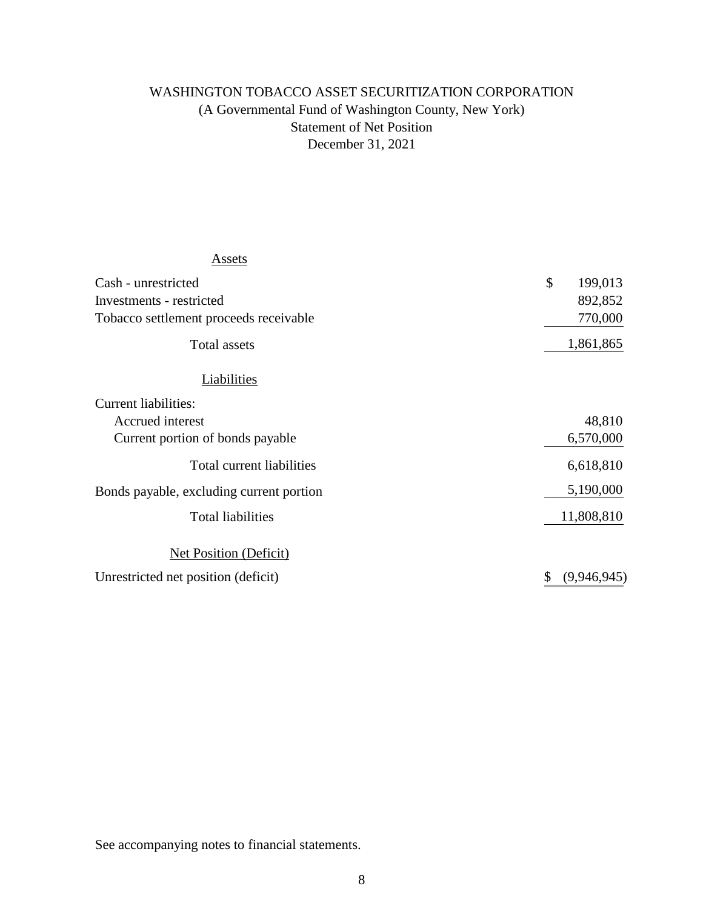# WASHINGTON TOBACCO ASSET SECURITIZATION CORPORATION (A Governmental Fund of Washington County, New York) Statement of Net Position December 31, 2021

| Assets                                          |                          |
|-------------------------------------------------|--------------------------|
| Cash - unrestricted<br>Investments - restricted | \$<br>199,013<br>892,852 |
| Tobacco settlement proceeds receivable          | 770,000                  |
| Total assets                                    | 1,861,865                |
| Liabilities                                     |                          |
| <b>Current liabilities:</b>                     |                          |
| Accrued interest                                | 48,810                   |
| Current portion of bonds payable                | 6,570,000                |
| Total current liabilities                       | 6,618,810                |
| Bonds payable, excluding current portion        | 5,190,000                |
| <b>Total liabilities</b>                        | 11,808,810               |
| Net Position (Deficit)                          |                          |
| Unrestricted net position (deficit)             | (9,946,945)              |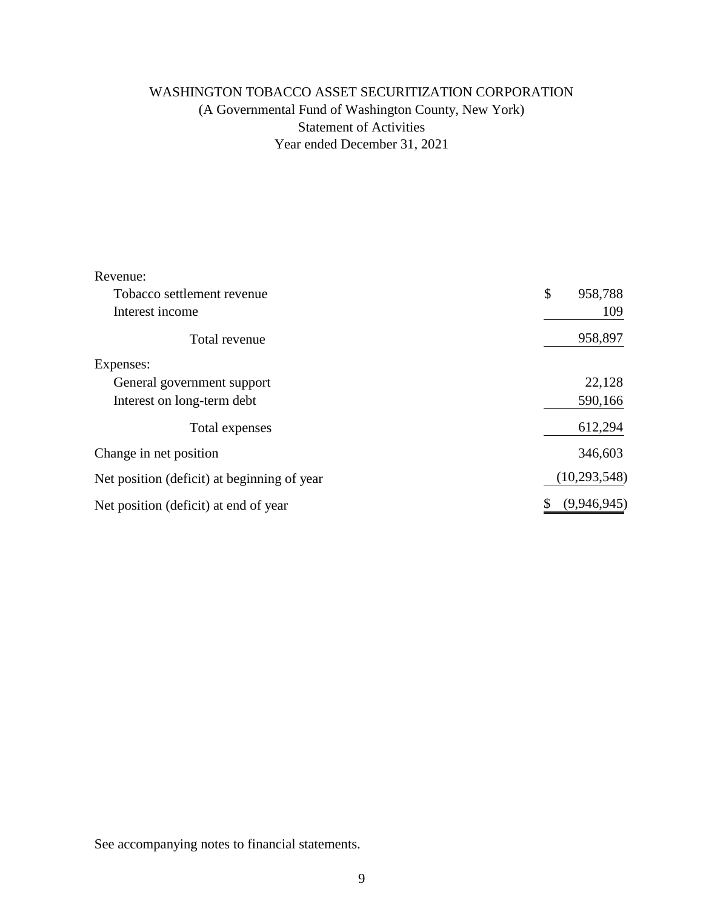# WASHINGTON TOBACCO ASSET SECURITIZATION CORPORATION (A Governmental Fund of Washington County, New York) Statement of Activities Year ended December 31, 2021

| Revenue:                                    |                |
|---------------------------------------------|----------------|
| Tobacco settlement revenue                  | \$<br>958,788  |
| Interest income                             | 109            |
| Total revenue                               | 958,897        |
| Expenses:                                   |                |
| General government support                  | 22,128         |
| Interest on long-term debt                  | 590,166        |
| Total expenses                              | 612,294        |
| Change in net position                      | 346,603        |
| Net position (deficit) at beginning of year | (10, 293, 548) |
| Net position (deficit) at end of year       | (9,946,945)    |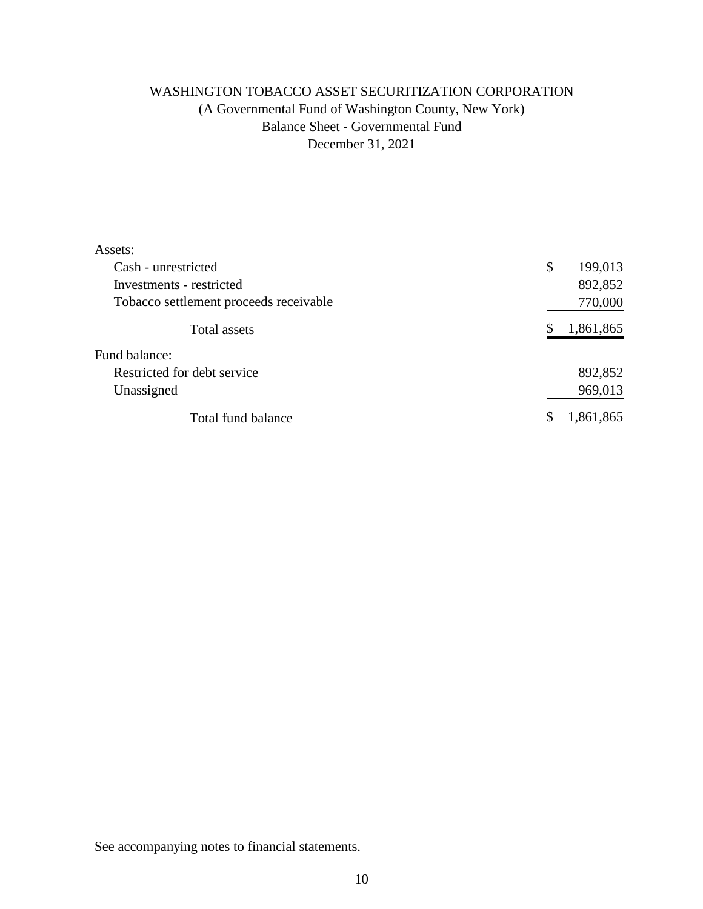# WASHINGTON TOBACCO ASSET SECURITIZATION CORPORATION (A Governmental Fund of Washington County, New York) Balance Sheet - Governmental Fund December 31, 2021

| Assets:                                |               |
|----------------------------------------|---------------|
| Cash - unrestricted                    | \$<br>199,013 |
| Investments - restricted               | 892,852       |
| Tobacco settlement proceeds receivable | 770,000       |
| Total assets                           | 1,861,865     |
| Fund balance:                          |               |
| Restricted for debt service            | 892,852       |
| Unassigned                             | 969,013       |
| Total fund balance                     | 1,861,865     |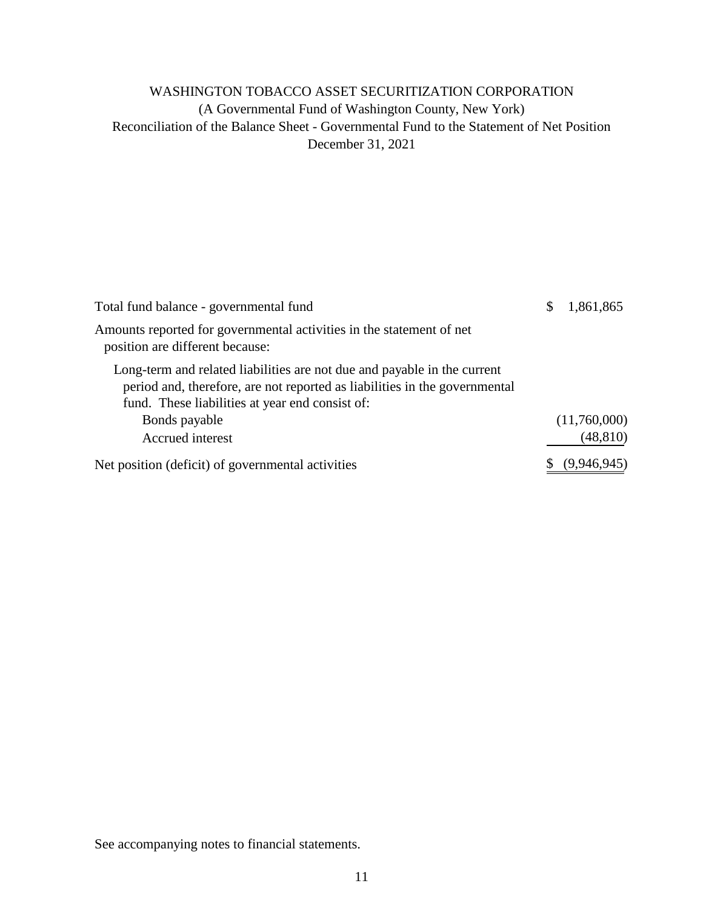# WASHINGTON TOBACCO ASSET SECURITIZATION CORPORATION (A Governmental Fund of Washington County, New York) Reconciliation of the Balance Sheet - Governmental Fund to the Statement of Net Position December 31, 2021

| Total fund balance - governmental fund                                                                                                                                                                    | \$<br>1,861,865 |
|-----------------------------------------------------------------------------------------------------------------------------------------------------------------------------------------------------------|-----------------|
| Amounts reported for governmental activities in the statement of net<br>position are different because:                                                                                                   |                 |
| Long-term and related liabilities are not due and payable in the current<br>period and, therefore, are not reported as liabilities in the governmental<br>fund. These liabilities at year end consist of: |                 |
| Bonds payable                                                                                                                                                                                             | (11,760,000)    |
| Accrued interest                                                                                                                                                                                          | (48, 810)       |
| Net position (deficit) of governmental activities                                                                                                                                                         | (9,946,945)     |
|                                                                                                                                                                                                           |                 |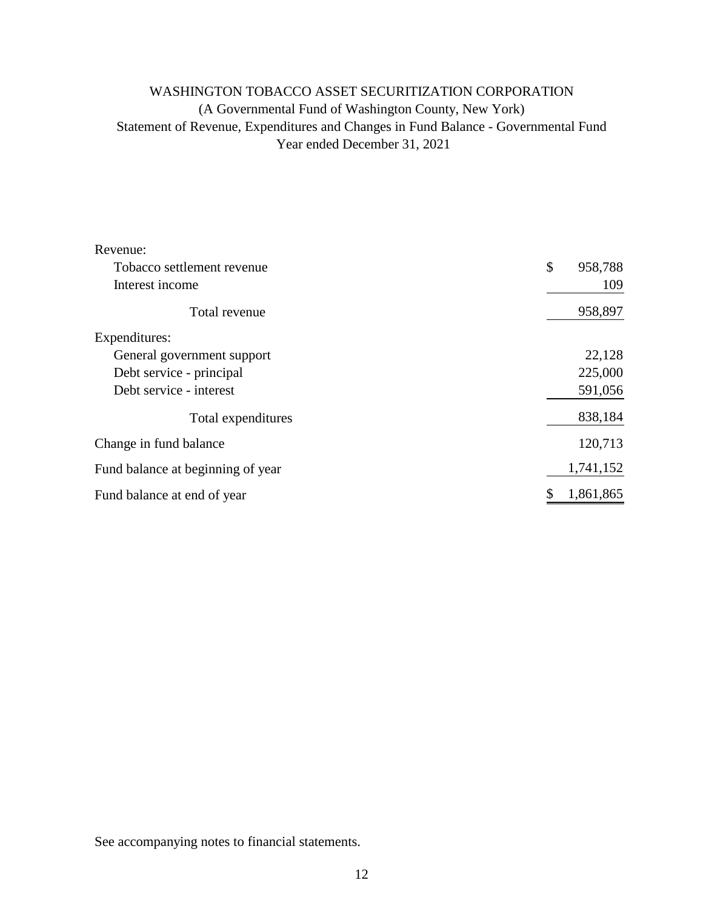# WASHINGTON TOBACCO ASSET SECURITIZATION CORPORATION (A Governmental Fund of Washington County, New York) Statement of Revenue, Expenditures and Changes in Fund Balance - Governmental Fund Year ended December 31, 2021

| Revenue:                          |               |
|-----------------------------------|---------------|
| Tobacco settlement revenue        | \$<br>958,788 |
| Interest income                   | 109           |
| Total revenue                     | 958,897       |
| Expenditures:                     |               |
| General government support        | 22,128        |
| Debt service - principal          | 225,000       |
| Debt service - interest           | 591,056       |
| Total expenditures                | 838,184       |
| Change in fund balance            | 120,713       |
| Fund balance at beginning of year | 1,741,152     |
| Fund balance at end of year       | 1,861,865     |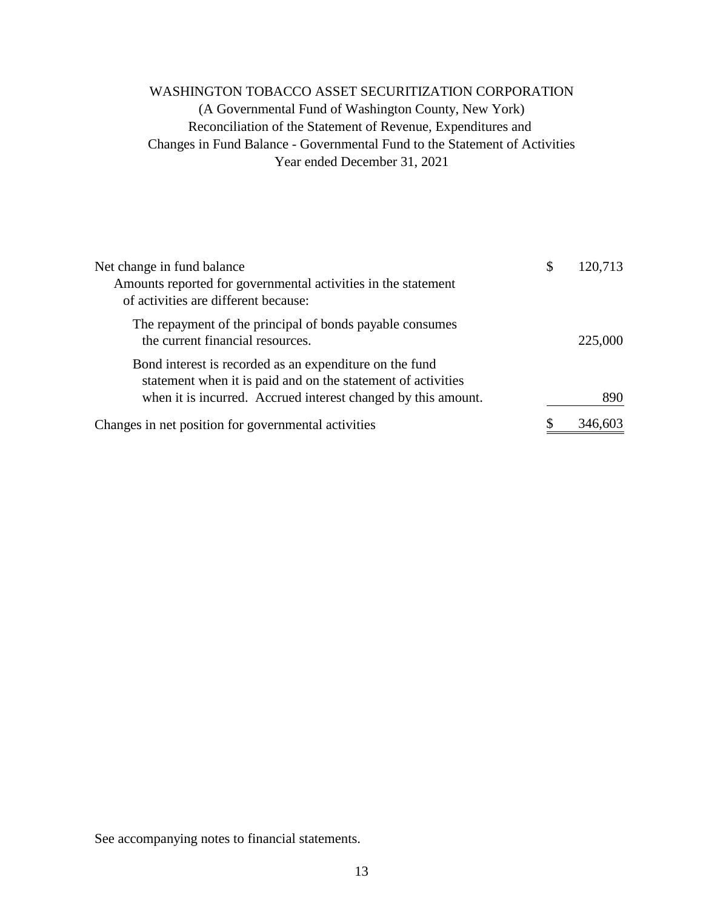# Year ended December 31, 2021 WASHINGTON TOBACCO ASSET SECURITIZATION CORPORATION (A Governmental Fund of Washington County, New York) Reconciliation of the Statement of Revenue, Expenditures and Changes in Fund Balance - Governmental Fund to the Statement of Activities

| Net change in fund balance                                    | \$<br>120,713 |
|---------------------------------------------------------------|---------------|
| Amounts reported for governmental activities in the statement |               |
| of activities are different because:                          |               |
| The repayment of the principal of bonds payable consumes      |               |
| the current financial resources.                              | 225,000       |
| Bond interest is recorded as an expenditure on the fund       |               |
| statement when it is paid and on the statement of activities  |               |
| when it is incurred. Accrued interest changed by this amount. | 890           |
| Changes in net position for governmental activities           | 346,603       |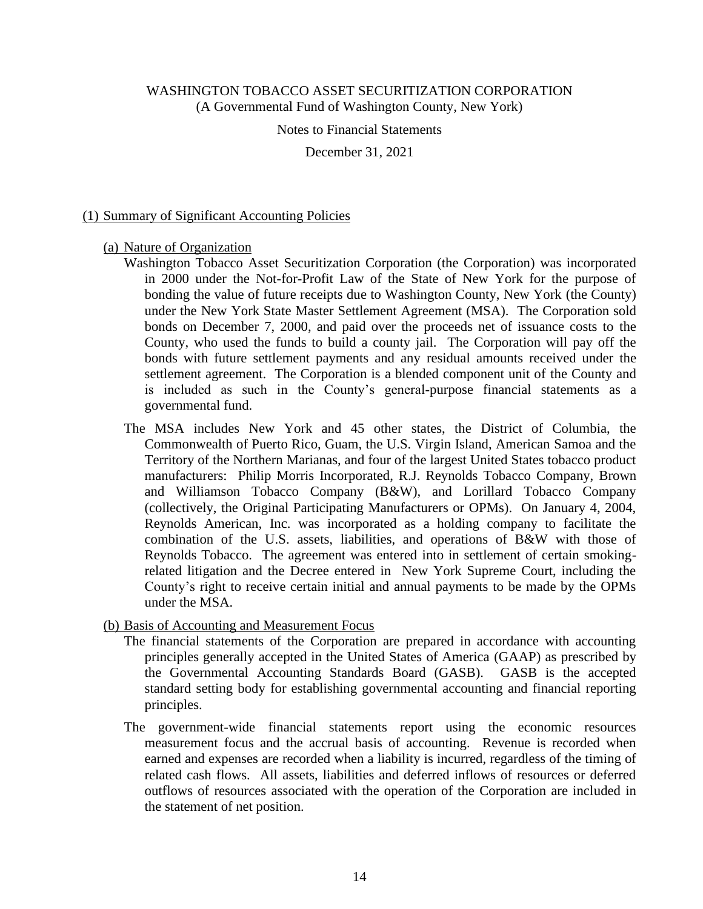Notes to Financial Statements

December 31, 2021

#### (1) Summary of Significant Accounting Policies

#### (a) Nature of Organization

- Washington Tobacco Asset Securitization Corporation (the Corporation) was incorporated in 2000 under the Not-for-Profit Law of the State of New York for the purpose of bonding the value of future receipts due to Washington County, New York (the County) under the New York State Master Settlement Agreement (MSA). The Corporation sold bonds on December 7, 2000, and paid over the proceeds net of issuance costs to the County, who used the funds to build a county jail. The Corporation will pay off the bonds with future settlement payments and any residual amounts received under the settlement agreement. The Corporation is a blended component unit of the County and is included as such in the County's general-purpose financial statements as a governmental fund.
- The MSA includes New York and 45 other states, the District of Columbia, the Commonwealth of Puerto Rico, Guam, the U.S. Virgin Island, American Samoa and the Territory of the Northern Marianas, and four of the largest United States tobacco product manufacturers: Philip Morris Incorporated, R.J. Reynolds Tobacco Company, Brown and Williamson Tobacco Company (B&W), and Lorillard Tobacco Company (collectively, the Original Participating Manufacturers or OPMs). On January 4, 2004, Reynolds American, Inc. was incorporated as a holding company to facilitate the combination of the U.S. assets, liabilities, and operations of B&W with those of Reynolds Tobacco. The agreement was entered into in settlement of certain smokingrelated litigation and the Decree entered in New York Supreme Court, including the County's right to receive certain initial and annual payments to be made by the OPMs under the MSA.

### (b) Basis of Accounting and Measurement Focus

- The financial statements of the Corporation are prepared in accordance with accounting principles generally accepted in the United States of America (GAAP) as prescribed by the Governmental Accounting Standards Board (GASB). GASB is the accepted standard setting body for establishing governmental accounting and financial reporting principles.
- The government-wide financial statements report using the economic resources measurement focus and the accrual basis of accounting. Revenue is recorded when earned and expenses are recorded when a liability is incurred, regardless of the timing of related cash flows. All assets, liabilities and deferred inflows of resources or deferred outflows of resources associated with the operation of the Corporation are included in the statement of net position.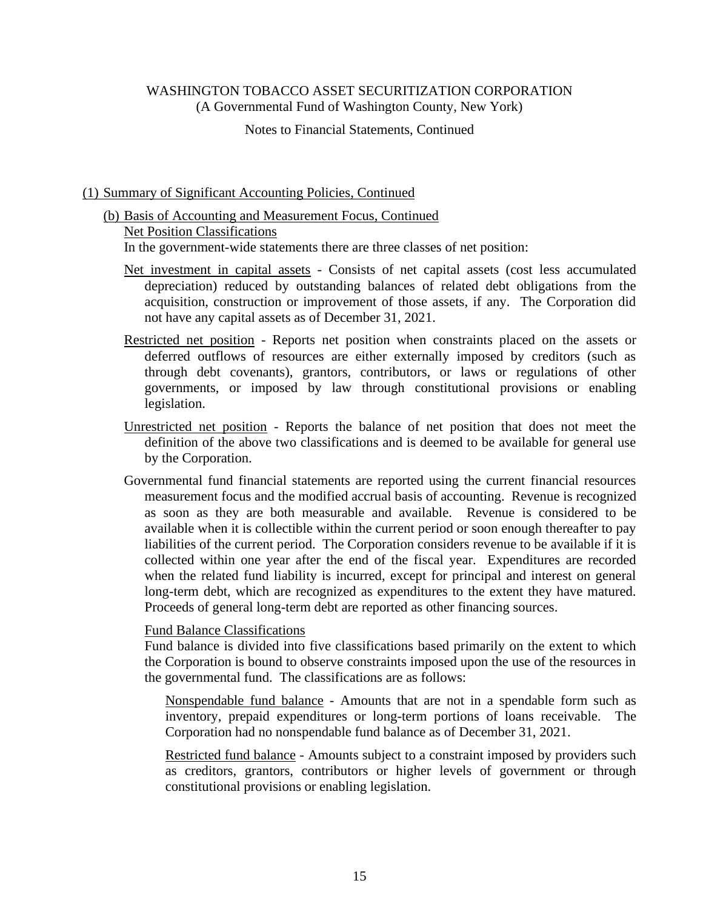Notes to Financial Statements, Continued

# (1) Summary of Significant Accounting Policies, Continued

# (b) Basis of Accounting and Measurement Focus, Continued Net Position Classifications

In the government-wide statements there are three classes of net position:

- Net investment in capital assets Consists of net capital assets (cost less accumulated depreciation) reduced by outstanding balances of related debt obligations from the acquisition, construction or improvement of those assets, if any. The Corporation did not have any capital assets as of December 31, 2021.
- Restricted net position Reports net position when constraints placed on the assets or deferred outflows of resources are either externally imposed by creditors (such as through debt covenants), grantors, contributors, or laws or regulations of other governments, or imposed by law through constitutional provisions or enabling legislation.
- Unrestricted net position Reports the balance of net position that does not meet the definition of the above two classifications and is deemed to be available for general use by the Corporation.
- Governmental fund financial statements are reported using the current financial resources measurement focus and the modified accrual basis of accounting. Revenue is recognized as soon as they are both measurable and available. Revenue is considered to be available when it is collectible within the current period or soon enough thereafter to pay liabilities of the current period. The Corporation considers revenue to be available if it is collected within one year after the end of the fiscal year. Expenditures are recorded when the related fund liability is incurred, except for principal and interest on general long-term debt, which are recognized as expenditures to the extent they have matured. Proceeds of general long-term debt are reported as other financing sources.

Fund Balance Classifications

Fund balance is divided into five classifications based primarily on the extent to which the Corporation is bound to observe constraints imposed upon the use of the resources in the governmental fund. The classifications are as follows:

Nonspendable fund balance - Amounts that are not in a spendable form such as inventory, prepaid expenditures or long-term portions of loans receivable. The Corporation had no nonspendable fund balance as of December 31, 2021.

Restricted fund balance - Amounts subject to a constraint imposed by providers such as creditors, grantors, contributors or higher levels of government or through constitutional provisions or enabling legislation.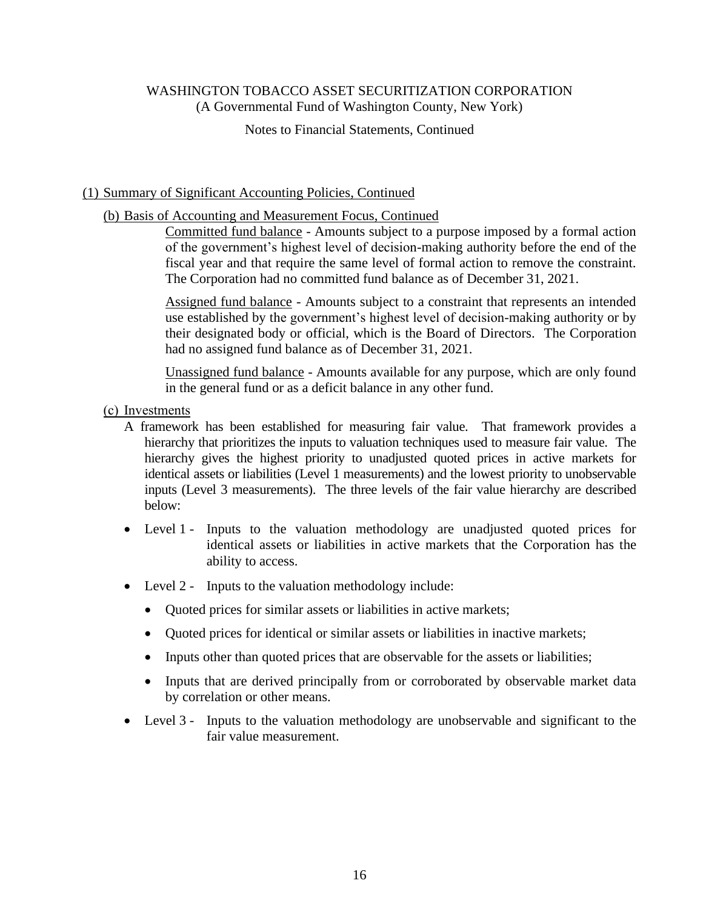Notes to Financial Statements, Continued

# (1) Summary of Significant Accounting Policies, Continued

# (b) Basis of Accounting and Measurement Focus, Continued

Committed fund balance - Amounts subject to a purpose imposed by a formal action of the government's highest level of decision-making authority before the end of the fiscal year and that require the same level of formal action to remove the constraint. The Corporation had no committed fund balance as of December 31, 2021.

Assigned fund balance - Amounts subject to a constraint that represents an intended use established by the government's highest level of decision-making authority or by their designated body or official, which is the Board of Directors. The Corporation had no assigned fund balance as of December 31, 2021.

Unassigned fund balance - Amounts available for any purpose, which are only found in the general fund or as a deficit balance in any other fund.

- (c) Investments
	- A framework has been established for measuring fair value. That framework provides a hierarchy that prioritizes the inputs to valuation techniques used to measure fair value. The hierarchy gives the highest priority to unadjusted quoted prices in active markets for identical assets or liabilities (Level 1 measurements) and the lowest priority to unobservable inputs (Level 3 measurements). The three levels of the fair value hierarchy are described below:
	- Level 1 Inputs to the valuation methodology are unadjusted quoted prices for identical assets or liabilities in active markets that the Corporation has the ability to access.
	- Level 2 Inputs to the valuation methodology include:
		- Quoted prices for similar assets or liabilities in active markets;
		- Quoted prices for identical or similar assets or liabilities in inactive markets;
		- Inputs other than quoted prices that are observable for the assets or liabilities;
		- Inputs that are derived principally from or corroborated by observable market data by correlation or other means.
	- Level 3 Inputs to the valuation methodology are unobservable and significant to the fair value measurement.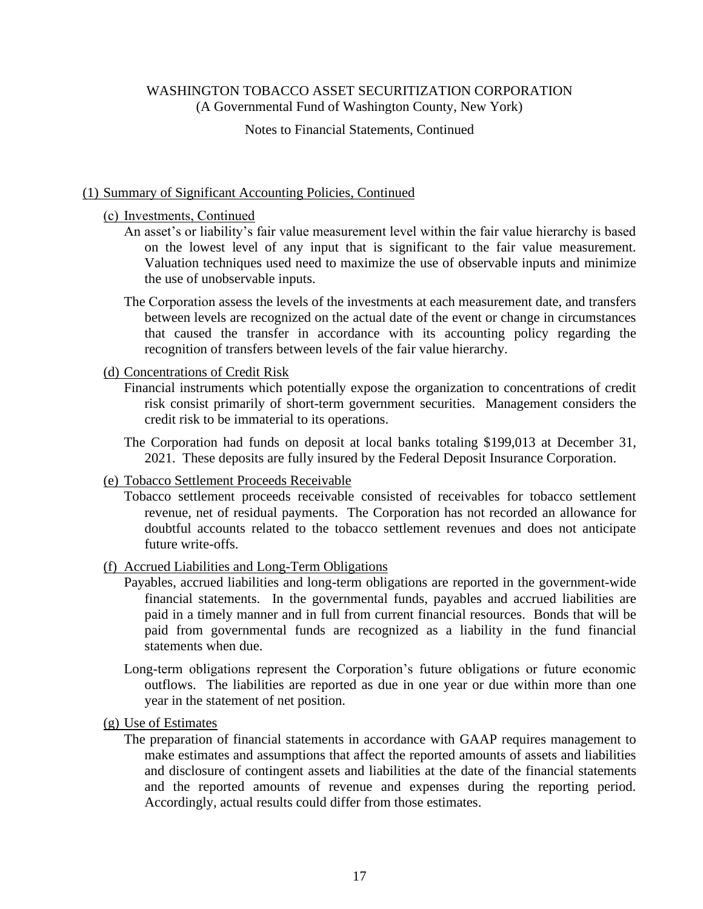Notes to Financial Statements, Continued

# (1) Summary of Significant Accounting Policies, Continued

# (c) Investments, Continued

- An asset's or liability's fair value measurement level within the fair value hierarchy is based on the lowest level of any input that is significant to the fair value measurement. Valuation techniques used need to maximize the use of observable inputs and minimize the use of unobservable inputs.
- The Corporation assess the levels of the investments at each measurement date, and transfers between levels are recognized on the actual date of the event or change in circumstances that caused the transfer in accordance with its accounting policy regarding the recognition of transfers between levels of the fair value hierarchy.

### (d) Concentrations of Credit Risk

- Financial instruments which potentially expose the organization to concentrations of credit risk consist primarily of short-term government securities. Management considers the credit risk to be immaterial to its operations.
- The Corporation had funds on deposit at local banks totaling \$199,013 at December 31, 2021. These deposits are fully insured by the Federal Deposit Insurance Corporation.

# (e) Tobacco Settlement Proceeds Receivable

Tobacco settlement proceeds receivable consisted of receivables for tobacco settlement revenue, net of residual payments. The Corporation has not recorded an allowance for doubtful accounts related to the tobacco settlement revenues and does not anticipate future write-offs.

# (f) Accrued Liabilities and Long-Term Obligations

- Payables, accrued liabilities and long-term obligations are reported in the government-wide financial statements. In the governmental funds, payables and accrued liabilities are paid in a timely manner and in full from current financial resources. Bonds that will be paid from governmental funds are recognized as a liability in the fund financial statements when due.
- Long-term obligations represent the Corporation's future obligations or future economic outflows. The liabilities are reported as due in one year or due within more than one year in the statement of net position.
- (g) Use of Estimates
	- The preparation of financial statements in accordance with GAAP requires management to make estimates and assumptions that affect the reported amounts of assets and liabilities and disclosure of contingent assets and liabilities at the date of the financial statements and the reported amounts of revenue and expenses during the reporting period. Accordingly, actual results could differ from those estimates.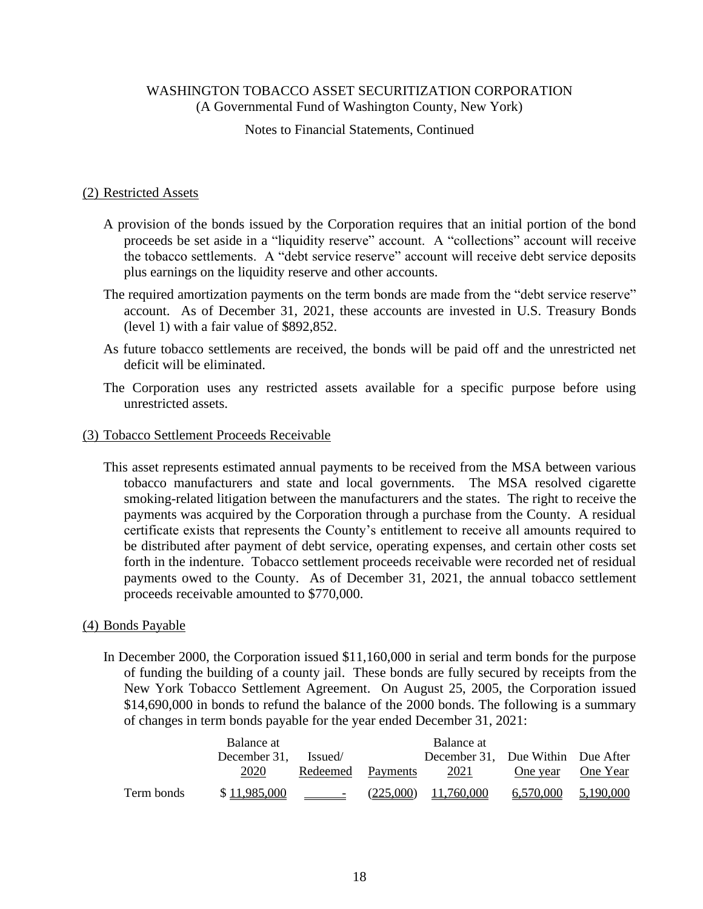### Notes to Financial Statements, Continued

### (2) Restricted Assets

- A provision of the bonds issued by the Corporation requires that an initial portion of the bond proceeds be set aside in a "liquidity reserve" account. A "collections" account will receive the tobacco settlements. A "debt service reserve" account will receive debt service deposits plus earnings on the liquidity reserve and other accounts.
- The required amortization payments on the term bonds are made from the "debt service reserve" account. As of December 31, 2021, these accounts are invested in U.S. Treasury Bonds (level 1) with a fair value of \$892,852.
- As future tobacco settlements are received, the bonds will be paid off and the unrestricted net deficit will be eliminated.
- The Corporation uses any restricted assets available for a specific purpose before using unrestricted assets.

### (3) Tobacco Settlement Proceeds Receivable

This asset represents estimated annual payments to be received from the MSA between various tobacco manufacturers and state and local governments. The MSA resolved cigarette smoking-related litigation between the manufacturers and the states. The right to receive the payments was acquired by the Corporation through a purchase from the County. A residual certificate exists that represents the County's entitlement to receive all amounts required to be distributed after payment of debt service, operating expenses, and certain other costs set forth in the indenture. Tobacco settlement proceeds receivable were recorded net of residual payments owed to the County. As of December 31, 2021, the annual tobacco settlement proceeds receivable amounted to \$770,000.

# (4) Bonds Payable

In December 2000, the Corporation issued \$11,160,000 in serial and term bonds for the purpose of funding the building of a county jail. These bonds are fully secured by receipts from the New York Tobacco Settlement Agreement. On August 25, 2005, the Corporation issued \$14,690,000 in bonds to refund the balance of the 2000 bonds. The following is a summary of changes in term bonds payable for the year ended December 31, 2021:

|            | Balance at   |                                |           | Balance at                        |                   |           |
|------------|--------------|--------------------------------|-----------|-----------------------------------|-------------------|-----------|
|            | December 31. | lssued/                        |           | December 31, Due Within Due After |                   |           |
|            | 2020         | Redeemed Payments              |           | 2021                              | One year One Year |           |
| Term bonds | \$11,985,000 | <u>and the second property</u> | (225.000) | 11,760,000                        | 6.570.000         | 5.190.000 |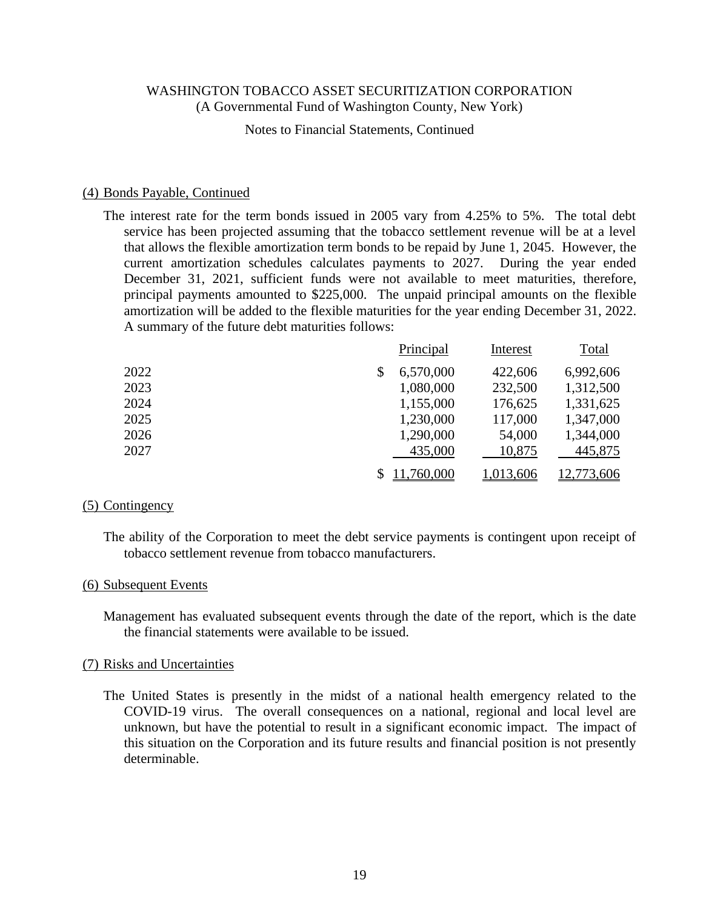#### Notes to Financial Statements, Continued

### (4) Bonds Payable, Continued

The interest rate for the term bonds issued in 2005 vary from 4.25% to 5%. The total debt service has been projected assuming that the tobacco settlement revenue will be at a level that allows the flexible amortization term bonds to be repaid by June 1, 2045. However, the current amortization schedules calculates payments to 2027. During the year ended December 31, 2021, sufficient funds were not available to meet maturities, therefore, principal payments amounted to \$225,000. The unpaid principal amounts on the flexible amortization will be added to the flexible maturities for the year ending December 31, 2022. A summary of the future debt maturities follows:

|      | Principal       | Interest  | Total      |
|------|-----------------|-----------|------------|
| 2022 | \$<br>6,570,000 | 422,606   | 6,992,606  |
| 2023 | 1,080,000       | 232,500   | 1,312,500  |
| 2024 | 1,155,000       | 176,625   | 1,331,625  |
| 2025 | 1,230,000       | 117,000   | 1,347,000  |
| 2026 | 1,290,000       | 54,000    | 1,344,000  |
| 2027 | 435,000         | 10,875    | 445,875    |
|      | 11,760,000      | 1,013,606 | 12,773,606 |

### (5) Contingency

The ability of the Corporation to meet the debt service payments is contingent upon receipt of tobacco settlement revenue from tobacco manufacturers.

#### (6) Subsequent Events

Management has evaluated subsequent events through the date of the report, which is the date the financial statements were available to be issued.

#### (7) Risks and Uncertainties

The United States is presently in the midst of a national health emergency related to the COVID-19 virus. The overall consequences on a national, regional and local level are unknown, but have the potential to result in a significant economic impact. The impact of this situation on the Corporation and its future results and financial position is not presently determinable.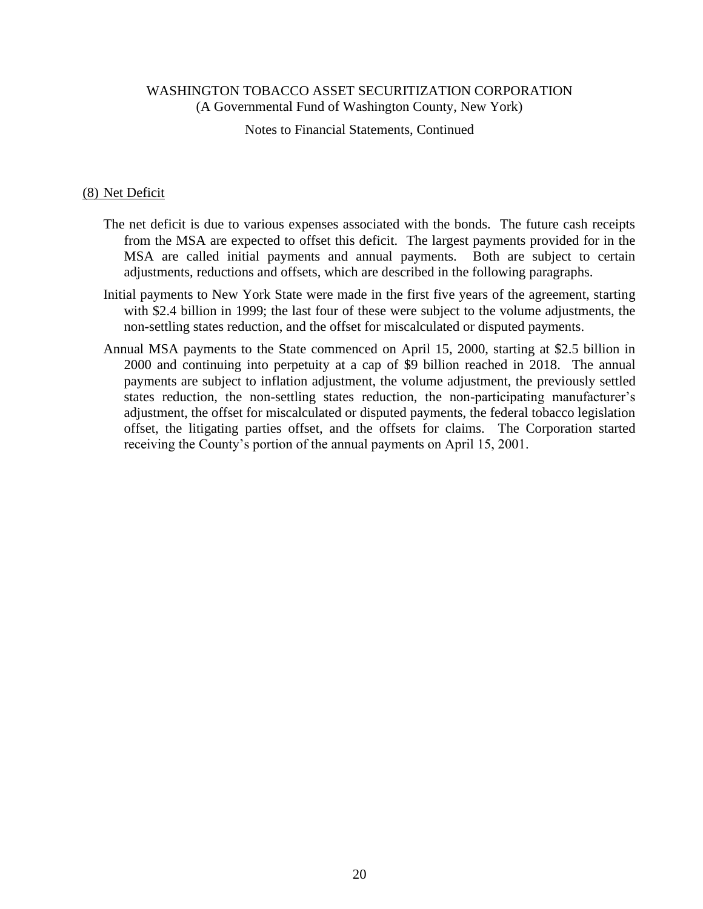Notes to Financial Statements, Continued

### (8) Net Deficit

- The net deficit is due to various expenses associated with the bonds. The future cash receipts from the MSA are expected to offset this deficit. The largest payments provided for in the MSA are called initial payments and annual payments. Both are subject to certain adjustments, reductions and offsets, which are described in the following paragraphs.
- Initial payments to New York State were made in the first five years of the agreement, starting with \$2.4 billion in 1999; the last four of these were subject to the volume adjustments, the non-settling states reduction, and the offset for miscalculated or disputed payments.
- Annual MSA payments to the State commenced on April 15, 2000, starting at \$2.5 billion in 2000 and continuing into perpetuity at a cap of \$9 billion reached in 2018. The annual payments are subject to inflation adjustment, the volume adjustment, the previously settled states reduction, the non-settling states reduction, the non-participating manufacturer's adjustment, the offset for miscalculated or disputed payments, the federal tobacco legislation offset, the litigating parties offset, and the offsets for claims. The Corporation started receiving the County's portion of the annual payments on April 15, 2001.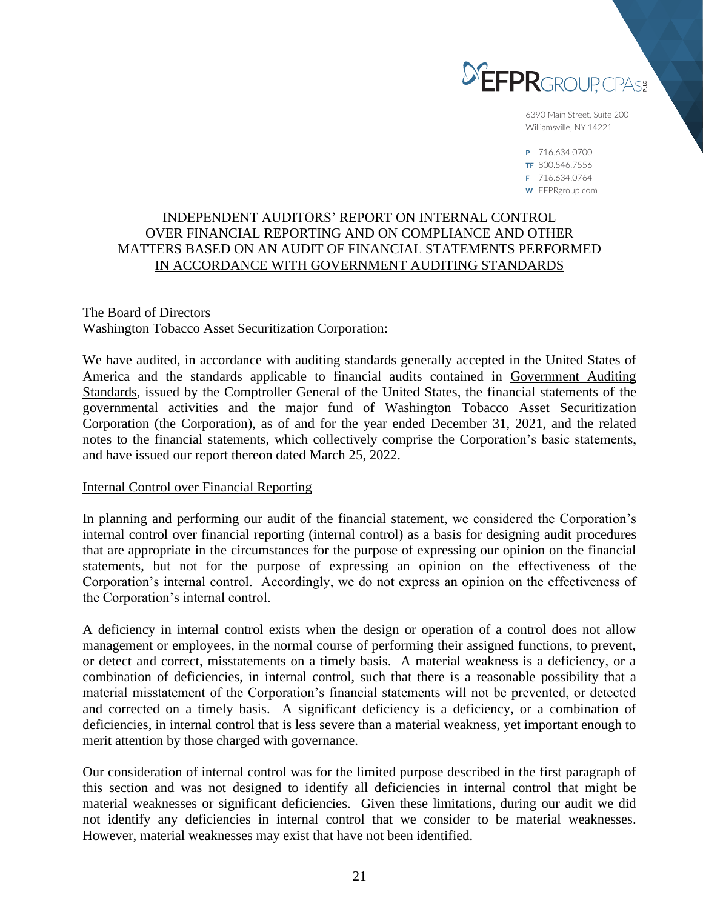

6390 Main Street, Suite 200 Williamsville, NY 14221

P 716.634.0700 TF 800.546.7556 F 716.634.0764 W EFPRgroup.com

# INDEPENDENT AUDITORS' REPORT ON INTERNAL CONTROL OVER FINANCIAL REPORTING AND ON COMPLIANCE AND OTHER MATTERS BASED ON AN AUDIT OF FINANCIAL STATEMENTS PERFORMED IN ACCORDANCE WITH GOVERNMENT AUDITING STANDARDS

### The Board of Directors Washington Tobacco Asset Securitization Corporation:

We have audited, in accordance with auditing standards generally accepted in the United States of America and the standards applicable to financial audits contained in Government Auditing Standards, issued by the Comptroller General of the United States, the financial statements of the governmental activities and the major fund of Washington Tobacco Asset Securitization Corporation (the Corporation), as of and for the year ended December 31, 2021, and the related notes to the financial statements, which collectively comprise the Corporation's basic statements, and have issued our report thereon dated March 25, 2022.

# Internal Control over Financial Reporting

In planning and performing our audit of the financial statement, we considered the Corporation's internal control over financial reporting (internal control) as a basis for designing audit procedures that are appropriate in the circumstances for the purpose of expressing our opinion on the financial statements, but not for the purpose of expressing an opinion on the effectiveness of the Corporation's internal control. Accordingly, we do not express an opinion on the effectiveness of the Corporation's internal control.

A deficiency in internal control exists when the design or operation of a control does not allow management or employees, in the normal course of performing their assigned functions, to prevent, or detect and correct, misstatements on a timely basis. A material weakness is a deficiency, or a combination of deficiencies, in internal control, such that there is a reasonable possibility that a material misstatement of the Corporation's financial statements will not be prevented, or detected and corrected on a timely basis. A significant deficiency is a deficiency, or a combination of deficiencies, in internal control that is less severe than a material weakness, yet important enough to merit attention by those charged with governance.

Our consideration of internal control was for the limited purpose described in the first paragraph of this section and was not designed to identify all deficiencies in internal control that might be material weaknesses or significant deficiencies. Given these limitations, during our audit we did not identify any deficiencies in internal control that we consider to be material weaknesses. However, material weaknesses may exist that have not been identified.